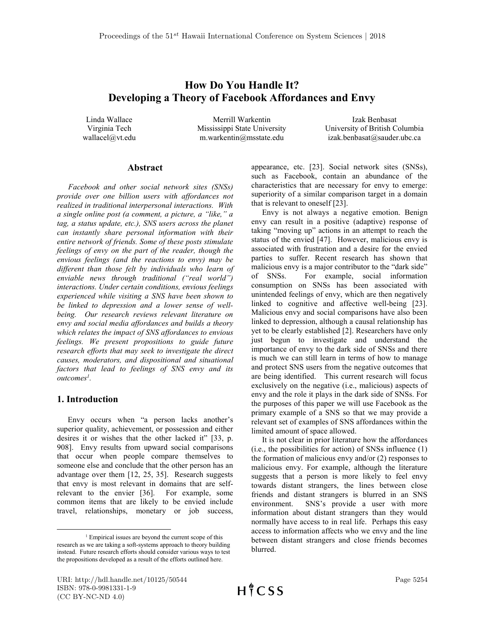# How Do You Handle It? Developing a Theory of Facebook Affordances and Envy

Linda Wallace Virginia Tech wallacel@vt.edu

Merrill Warkentin Mississippi State University m.warkentin@msstate.edu

Izak Benbasat University of British Columbia izak.benbasat@sauder.ubc.ca

#### Abstract

Facebook and other social network sites (SNSs) provide over one billion users with affordances not realized in traditional interpersonal interactions. With a single online post (a comment, a picture, a "like," a tag, a status update, etc.), SNS users across the planet can instantly share personal information with their entire network of friends. Some of these posts stimulate feelings of envy on the part of the reader, though the envious feelings (and the reactions to envy) may be different than those felt by individuals who learn of enviable news through traditional ("real world") interactions. Under certain conditions, envious feelings experienced while visiting a SNS have been shown to be linked to depression and a lower sense of wellbeing. Our research reviews relevant literature on envy and social media affordances and builds a theory which relates the impact of SNS affordances to envious feelings. We present propositions to guide future research efforts that may seek to investigate the direct causes, moderators, and dispositional and situational factors that lead to feelings of SNS envy and its outcomes<sup>1</sup>.

#### 1. Introduction

 $\overline{a}$ 

Envy occurs when "a person lacks another's superior quality, achievement, or possession and either desires it or wishes that the other lacked it" [33, p. 908]. Envy results from upward social comparisons that occur when people compare themselves to someone else and conclude that the other person has an advantage over them [12, 25, 35]. Research suggests that envy is most relevant in domains that are selfrelevant to the envier [36]. For example, some common items that are likely to be envied include travel, relationships, monetary or job success,

appearance, etc. [23]. Social network sites (SNSs), such as Facebook, contain an abundance of the characteristics that are necessary for envy to emerge: superiority of a similar comparison target in a domain that is relevant to oneself [23].

Envy is not always a negative emotion. Benign envy can result in a positive (adaptive) response of taking "moving up" actions in an attempt to reach the status of the envied [47]. However, malicious envy is associated with frustration and a desire for the envied parties to suffer. Recent research has shown that malicious envy is a major contributor to the "dark side" of SNSs. For example, social information consumption on SNSs has been associated with unintended feelings of envy, which are then negatively linked to cognitive and affective well-being [23]. Malicious envy and social comparisons have also been linked to depression, although a causal relationship has yet to be clearly established [2]. Researchers have only just begun to investigate and understand the importance of envy to the dark side of SNSs and there is much we can still learn in terms of how to manage and protect SNS users from the negative outcomes that are being identified. This current research will focus exclusively on the negative (i.e., malicious) aspects of envy and the role it plays in the dark side of SNSs. For the purposes of this paper we will use Facebook as the primary example of a SNS so that we may provide a relevant set of examples of SNS affordances within the limited amount of space allowed.

It is not clear in prior literature how the affordances (i.e., the possibilities for action) of SNSs influence (1) the formation of malicious envy and/or (2) responses to malicious envy. For example, although the literature suggests that a person is more likely to feel envy towards distant strangers, the lines between close friends and distant strangers is blurred in an SNS environment. SNS's provide a user with more information about distant strangers than they would normally have access to in real life. Perhaps this easy access to information affects who we envy and the line between distant strangers and close friends becomes blurred.

<sup>&</sup>lt;sup>1</sup> Empirical issues are beyond the current scope of this research as we are taking a soft-systems approach to theory building instead. Future research efforts should consider various ways to test the propositions developed as a result of the efforts outlined here.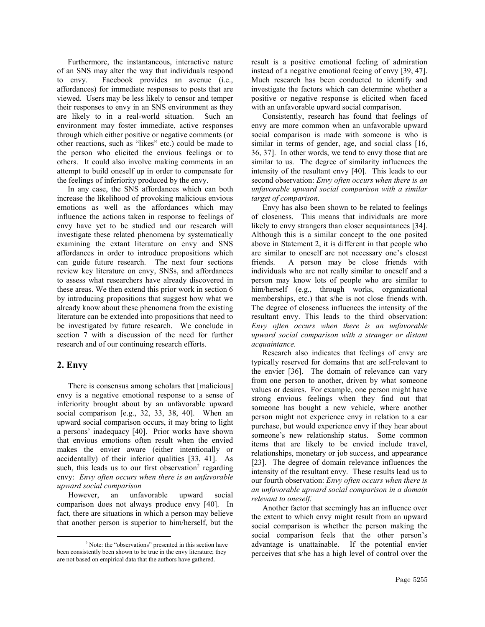Furthermore, the instantaneous, interactive nature of an SNS may alter the way that individuals respond to envy. Facebook provides an avenue (i.e., affordances) for immediate responses to posts that are viewed. Users may be less likely to censor and temper their responses to envy in an SNS environment as they are likely to in a real-world situation. Such an environment may foster immediate, active responses through which either positive or negative comments (or other reactions, such as "likes" etc.) could be made to the person who elicited the envious feelings or to others. It could also involve making comments in an attempt to build oneself up in order to compensate for the feelings of inferiority produced by the envy.

In any case, the SNS affordances which can both increase the likelihood of provoking malicious envious emotions as well as the affordances which may influence the actions taken in response to feelings of envy have yet to be studied and our research will investigate these related phenomena by systematically examining the extant literature on envy and SNS affordances in order to introduce propositions which can guide future research. The next four sections review key literature on envy, SNSs, and affordances to assess what researchers have already discovered in these areas. We then extend this prior work in section 6 by introducing propositions that suggest how what we already know about these phenomena from the existing literature can be extended into propositions that need to be investigated by future research. We conclude in section 7 with a discussion of the need for further research and of our continuing research efforts.

#### 2. Envy

 $\overline{a}$ 

There is consensus among scholars that [malicious] envy is a negative emotional response to a sense of inferiority brought about by an unfavorable upward social comparison [e.g., 32, 33, 38, 40]. When an upward social comparison occurs, it may bring to light a persons' inadequacy [40]. Prior works have shown that envious emotions often result when the envied makes the envier aware (either intentionally or accidentally) of their inferior qualities [33, 41]. As such, this leads us to our first observation<sup>2</sup> regarding envy: Envy often occurs when there is an unfavorable upward social comparison

However, an unfavorable upward social comparison does not always produce envy [40]. In fact, there are situations in which a person may believe that another person is superior to him/herself, but the

result is a positive emotional feeling of admiration instead of a negative emotional feeing of envy [39, 47]. Much research has been conducted to identify and investigate the factors which can determine whether a positive or negative response is elicited when faced with an unfavorable upward social comparison.

Consistently, research has found that feelings of envy are more common when an unfavorable upward social comparison is made with someone is who is similar in terms of gender, age, and social class [16, 36, 37]. In other words, we tend to envy those that are similar to us. The degree of similarity influences the intensity of the resultant envy [40]. This leads to our second observation: Envy often occurs when there is an unfavorable upward social comparison with a similar target of comparison.

Envy has also been shown to be related to feelings of closeness. This means that individuals are more likely to envy strangers than closer acquaintances [34]. Although this is a similar concept to the one posited above in Statement 2, it is different in that people who are similar to oneself are not necessary one's closest friends. A person may be close friends with individuals who are not really similar to oneself and a person may know lots of people who are similar to him/herself (e.g., through works, organizational memberships, etc.) that s/he is not close friends with. The degree of closeness influences the intensity of the resultant envy. This leads to the third observation: Envy often occurs when there is an unfavorable upward social comparison with a stranger or distant acquaintance.

Research also indicates that feelings of envy are typically reserved for domains that are self-relevant to the envier [36]. The domain of relevance can vary from one person to another, driven by what someone values or desires. For example, one person might have strong envious feelings when they find out that someone has bought a new vehicle, where another person might not experience envy in relation to a car purchase, but would experience envy if they hear about someone's new relationship status. Some common items that are likely to be envied include travel, relationships, monetary or job success, and appearance [23]. The degree of domain relevance influences the intensity of the resultant envy. These results lead us to our fourth observation: Envy often occurs when there is an unfavorable upward social comparison in a domain relevant to oneself.

Another factor that seemingly has an influence over the extent to which envy might result from an upward social comparison is whether the person making the social comparison feels that the other person's advantage is unattainable. If the potential envier perceives that s/he has a high level of control over the

<sup>&</sup>lt;sup>2</sup> Note: the "observations" presented in this section have been consistently been shown to be true in the envy literature; they are not based on empirical data that the authors have gathered.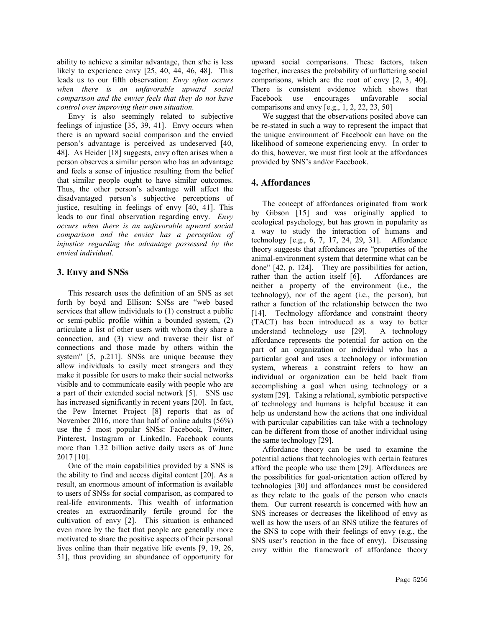ability to achieve a similar advantage, then s/he is less likely to experience envy [25, 40, 44, 46, 48]. This leads us to our fifth observation: Envy often occurs when there is an unfavorable upward social comparison and the envier feels that they do not have control over improving their own situation.

Envy is also seemingly related to subjective feelings of injustice [35, 39, 41]. Envy occurs when there is an upward social comparison and the envied person's advantage is perceived as undeserved [40, 48]. As Heider [18] suggests, envy often arises when a person observes a similar person who has an advantage and feels a sense of injustice resulting from the belief that similar people ought to have similar outcomes. Thus, the other person's advantage will affect the disadvantaged person's subjective perceptions of justice, resulting in feelings of envy [40, 41]. This leads to our final observation regarding envy. Envy occurs when there is an unfavorable upward social comparison and the envier has a perception of injustice regarding the advantage possessed by the envied individual.

### 3. Envy and SNSs

This research uses the definition of an SNS as set forth by boyd and Ellison: SNSs are "web based services that allow individuals to (1) construct a public or semi-public profile within a bounded system, (2) articulate a list of other users with whom they share a connection, and (3) view and traverse their list of connections and those made by others within the system" [5, p.211]. SNSs are unique because they allow individuals to easily meet strangers and they make it possible for users to make their social networks visible and to communicate easily with people who are a part of their extended social network [5]. SNS use has increased significantly in recent years [20]. In fact, the Pew Internet Project [8] reports that as of November 2016, more than half of online adults (56%) use the 5 most popular SNSs: Facebook, Twitter, Pinterest, Instagram or LinkedIn. Facebook counts more than 1.32 billion active daily users as of June 2017 [10].

One of the main capabilities provided by a SNS is the ability to find and access digital content [20]. As a result, an enormous amount of information is available to users of SNSs for social comparison, as compared to real-life environments. This wealth of information creates an extraordinarily fertile ground for the cultivation of envy [2]. This situation is enhanced even more by the fact that people are generally more motivated to share the positive aspects of their personal lives online than their negative life events [9, 19, 26, 51], thus providing an abundance of opportunity for

upward social comparisons. These factors, taken together, increases the probability of unflattering social comparisons, which are the root of envy [2, 3, 40]. There is consistent evidence which shows that Facebook use encourages unfavorable social comparisons and envy [e.g., 1, 2, 22, 23, 50]

We suggest that the observations posited above can be re-stated in such a way to represent the impact that the unique environment of Facebook can have on the likelihood of someone experiencing envy. In order to do this, however, we must first look at the affordances provided by SNS's and/or Facebook.

## 4. Affordances

The concept of affordances originated from work by Gibson [15] and was originally applied to ecological psychology, but has grown in popularity as a way to study the interaction of humans and technology [e.g., 6, 7, 17, 24, 29, 31]. Affordance theory suggests that affordances are "properties of the animal-environment system that determine what can be done" [42, p. 124]. They are possibilities for action, rather than the action itself [6]. Affordances are neither a property of the environment (i.e., the technology), nor of the agent (i.e., the person), but rather a function of the relationship between the two [14]. Technology affordance and constraint theory (TACT) has been introduced as a way to better understand technology use [29]. A technology affordance represents the potential for action on the part of an organization or individual who has a particular goal and uses a technology or information system, whereas a constraint refers to how an individual or organization can be held back from accomplishing a goal when using technology or a system [29]. Taking a relational, symbiotic perspective of technology and humans is helpful because it can help us understand how the actions that one individual with particular capabilities can take with a technology can be different from those of another individual using the same technology [29].

Affordance theory can be used to examine the potential actions that technologies with certain features afford the people who use them [29]. Affordances are the possibilities for goal-orientation action offered by technologies [30] and affordances must be considered as they relate to the goals of the person who enacts them. Our current research is concerned with how an SNS increases or decreases the likelihood of envy as well as how the users of an SNS utilize the features of the SNS to cope with their feelings of envy (e.g., the SNS user's reaction in the face of envy). Discussing envy within the framework of affordance theory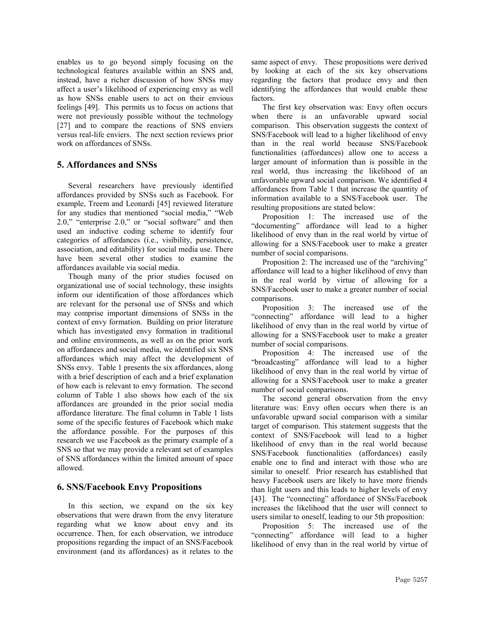enables us to go beyond simply focusing on the technological features available within an SNS and, instead, have a richer discussion of how SNSs may affect a user's likelihood of experiencing envy as well as how SNSs enable users to act on their envious feelings [49]. This permits us to focus on actions that were not previously possible without the technology [27] and to compare the reactions of SNS enviers versus real-life enviers. The next section reviews prior work on affordances of SNSs.

### 5. Affordances and SNSs

Several researchers have previously identified affordances provided by SNSs such as Facebook. For example, Treem and Leonardi [45] reviewed literature for any studies that mentioned "social media," "Web 2.0," "enterprise 2.0," or "social software" and then used an inductive coding scheme to identify four categories of affordances (i.e., visibility, persistence, association, and editability) for social media use. There have been several other studies to examine the affordances available via social media.

Though many of the prior studies focused on organizational use of social technology, these insights inform our identification of those affordances which are relevant for the personal use of SNSs and which may comprise important dimensions of SNSs in the context of envy formation. Building on prior literature which has investigated envy formation in traditional and online environments, as well as on the prior work on affordances and social media, we identified six SNS affordances which may affect the development of SNSs envy. Table 1 presents the six affordances, along with a brief description of each and a brief explanation of how each is relevant to envy formation. The second column of Table 1 also shows how each of the six affordances are grounded in the prior social media affordance literature. The final column in Table 1 lists some of the specific features of Facebook which make the affordance possible. For the purposes of this research we use Facebook as the primary example of a SNS so that we may provide a relevant set of examples of SNS affordances within the limited amount of space allowed.

#### 6. SNS/Facebook Envy Propositions

In this section, we expand on the six key observations that were drawn from the envy literature regarding what we know about envy and its occurrence. Then, for each observation, we introduce propositions regarding the impact of an SNS/Facebook environment (and its affordances) as it relates to the same aspect of envy. These propositions were derived by looking at each of the six key observations regarding the factors that produce envy and then identifying the affordances that would enable these factors.

The first key observation was: Envy often occurs when there is an unfavorable upward social comparison. This observation suggests the context of SNS/Facebook will lead to a higher likelihood of envy than in the real world because SNS/Facebook functionalities (affordances) allow one to access a larger amount of information than is possible in the real world, thus increasing the likelihood of an unfavorable upward social comparison. We identified 4 affordances from Table 1 that increase the quantity of information available to a SNS/Facebook user. The resulting propositions are stated below:

Proposition 1: The increased use of the "documenting" affordance will lead to a higher likelihood of envy than in the real world by virtue of allowing for a SNS/Facebook user to make a greater number of social comparisons.

Proposition 2: The increased use of the "archiving" affordance will lead to a higher likelihood of envy than in the real world by virtue of allowing for a SNS/Facebook user to make a greater number of social comparisons.

Proposition 3: The increased use of the "connecting" affordance will lead to a higher likelihood of envy than in the real world by virtue of allowing for a SNS/Facebook user to make a greater number of social comparisons.

Proposition 4: The increased use of the "broadcasting" affordance will lead to a higher likelihood of envy than in the real world by virtue of allowing for a SNS/Facebook user to make a greater number of social comparisons.

The second general observation from the envy literature was: Envy often occurs when there is an unfavorable upward social comparison with a similar target of comparison. This statement suggests that the context of SNS/Facebook will lead to a higher likelihood of envy than in the real world because SNS/Facebook functionalities (affordances) easily enable one to find and interact with those who are similar to oneself. Prior research has established that heavy Facebook users are likely to have more friends than light users and this leads to higher levels of envy [43]. The "connecting" affordance of SNSs/Facebook increases the likelihood that the user will connect to users similar to oneself, leading to our 5th proposition:

Proposition 5: The increased use of the "connecting" affordance will lead to a higher likelihood of envy than in the real world by virtue of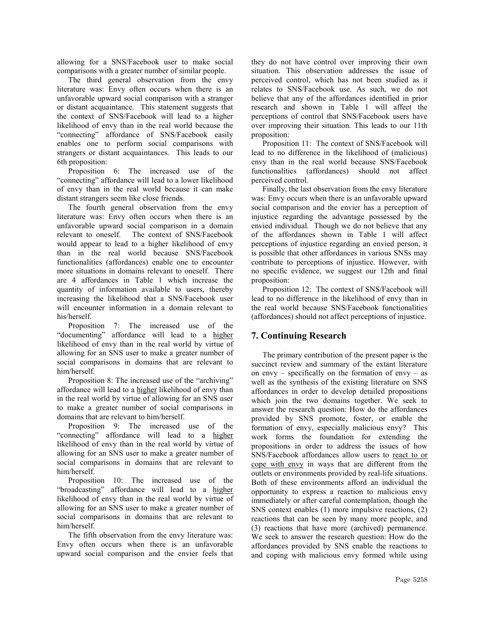allowing for a SNS/Facebook user to make social comparisons with a greater number of similar people.

The third general observation from the envy literature was: Envy often occurs when there is an unfavorable upward social comparison with a stranger or distant acquaintance. This statement suggests that the context of SNS/Facebook will lead to a higher likelihood of envy than in the real world because the "connecting" affordance of SNS/Facebook easily enables one to perform social comparisons with strangers or distant acquaintances. This leads to our 6th proposition:

Proposition 6: The increased use of the "connecting" affordance will lead to a lower likelihood of envy than in the real world because it can make distant strangers seem like close friends.

The fourth general observation from the envy literature was: Envy often occurs when there is an unfavorable upward social comparison in a domain relevant to oneself. The context of SNS/Facebook would appear to lead to a higher likelihood of envy than in the real world because SNS/Facebook functionalities (affordances) enable one to encounter more situations in domains relevant to oneself. There are 4 affordances in Table 1 which increase the quantity of information available to users, thereby increasing the likelihood that a SNS/Facebook user will encounter information in a domain relevant to his/herself.

Proposition 7: The increased use of the "documenting" affordance will lead to a higher likelihood of envy than in the real world by virtue of allowing for an SNS user to make a greater number of social comparisons in domains that are relevant to him/herself.

Proposition 8: The increased use of the "archiving" affordance will lead to a higher likelihood of envy than in the real world by virtue of allowing for an SNS user to make a greater number of social comparisons in domains that are relevant to him/herself.

Proposition 9: The increased use of the "connecting" affordance will lead to a higher likelihood of envy than in the real world by virtue of allowing for an SNS user to make a greater number of social comparisons in domains that are relevant to him/herself.

Proposition 10: The increased use of the "broadcasting" affordance will lead to a higher likelihood of envy than in the real world by virtue of allowing for an SNS user to make a greater number of social comparisons in domains that are relevant to him/herself.

The fifth observation from the envy literature was: Envy often occurs when there is an unfavorable upward social comparison and the envier feels that

they do not have control over improving their own situation. This observation addresses the issue of perceived control, which has not been studied as it relates to SNS/Facebook use. As such, we do not believe that any of the affordances identified in prior research and shown in Table 1 will affect the perceptions of control that SNS/Facebook users have over improving their situation. This leads to our 11th proposition:

Proposition 11: The context of SNS/Facebook will lead to no difference in the likelihood of (malicious) envy than in the real world because SNS/Facebook functionalities (affordances) should not affect perceived control.

Finally, the last observation from the envy literature was: Envy occurs when there is an unfavorable upward social comparison and the envier has a perception of injustice regarding the advantage possessed by the envied individual. Though we do not believe that any of the affordances shown in Table 1 will affect perceptions of injustice regarding an envied person, it is possible that other affordances in various SNSs may contribute to perceptions of injustice. However, with no specific evidence, we suggest our 12th and final proposition:

Proposition 12: The context of SNS/Facebook will lead to no difference in the likelihood of envy than in the real world because SNS/Facebook functionalities (affordances) should not affect perceptions of injustice.

# 7. Continuing Research

The primary contribution of the present paper is the succinct review and summary of the extant literature on envy – specifically on the formation of envy – as well as the synthesis of the existing literature on SNS affordances in order to develop detailed propositions which join the two domains together. We seek to answer the research question: How do the affordances provided by SNS promote, foster, or enable the formation of envy, especially malicious envy? This work forms the foundation for extending the propositions in order to address the issues of how SNS/Facebook affordances allow users to react to or cope with envy in ways that are different from the outlets or environments provided by real-life situations. Both of these environments afford an individual the opportunity to express a reaction to malicious envy immediately or after careful contemplation, though the SNS context enables (1) more impulsive reactions, (2) reactions that can be seen by many more people, and (3) reactions that have more (archived) permanence. We seek to answer the research question: How do the affordances provided by SNS enable the reactions to and coping with malicious envy formed while using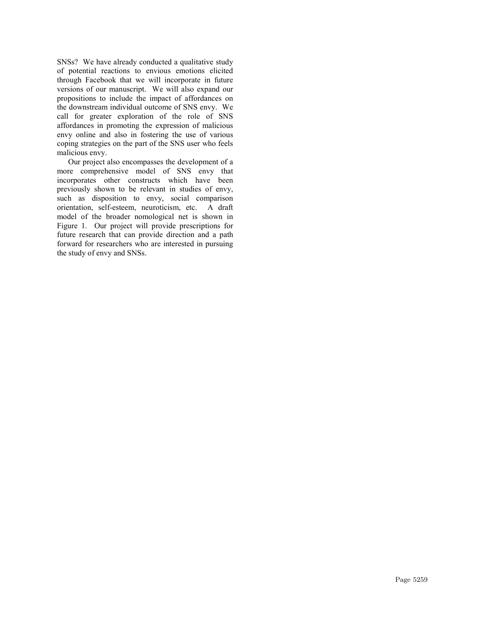SNSs? We have already conducted a qualitative study of potential reactions to envious emotions elicited through Facebook that we will incorporate in future versions of our manuscript. We will also expand our propositions to include the impact of affordances on the downstream individual outcome of SNS envy. We call for greater exploration of the role of SNS affordances in promoting the expression of malicious envy online and also in fostering the use of various coping strategies on the part of the SNS user who feels malicious envy.

Our project also encompasses the development of a more comprehensive model of SNS envy that incorporates other constructs which have been previously shown to be relevant in studies of envy, such as disposition to envy, social comparison orientation, self-esteem, neuroticism, etc. A draft model of the broader nomological net is shown in Figure 1. Our project will provide prescriptions for future research that can provide direction and a path forward for researchers who are interested in pursuing the study of envy and SNSs.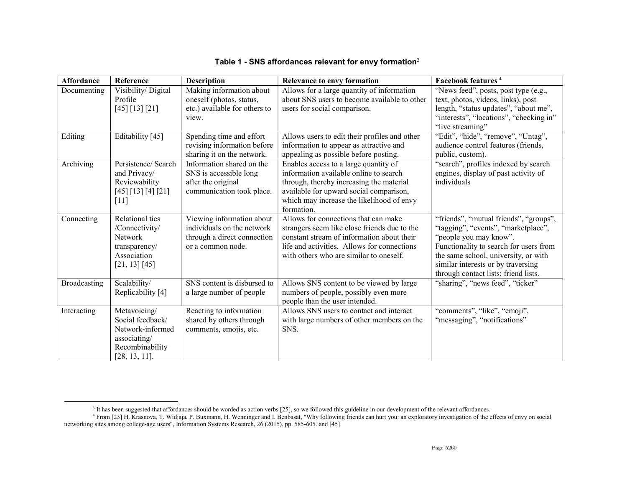| <b>Affordance</b> | Reference           | <b>Description</b>            | <b>Relevance to envy formation</b>            | Facebook features <sup>4</sup>          |
|-------------------|---------------------|-------------------------------|-----------------------------------------------|-----------------------------------------|
| Documenting       | Visibility/ Digital | Making information about      | Allows for a large quantity of information    | "News feed", posts, post type (e.g.,    |
|                   | Profile             | oneself (photos, status,      | about SNS users to become available to other  | text, photos, videos, links), post      |
|                   | [45] [13] [21]      | etc.) available for others to | users for social comparison.                  | length, "status updates", "about me",   |
|                   |                     | view.                         |                                               | "interests", "locations", "checking in" |
|                   |                     |                               |                                               | "live streaming"                        |
| Editing           | Editability [45]    | Spending time and effort      | Allows users to edit their profiles and other | "Edit", "hide", "remove", "Untag",      |
|                   |                     | revising information before   | information to appear as attractive and       | audience control features (friends,     |
|                   |                     | sharing it on the network.    | appealing as possible before posting.         | public, custom).                        |
| Archiving         | Persistence/ Search | Information shared on the     | Enables access to a large quantity of         | "search", profiles indexed by search    |
|                   | and Privacy/        | SNS is accessible long        | information available online to search        | engines, display of past activity of    |
|                   | Reviewability       | after the original            | through, thereby increasing the material      | individuals                             |
|                   | [45] [13] [4] [21]  | communication took place.     | available for upward social comparison,       |                                         |
|                   | $[11]$              |                               | which may increase the likelihood of envy     |                                         |
|                   |                     |                               | formation.                                    |                                         |
| Connecting        | Relational ties     | Viewing information about     | Allows for connections that can make          | "friends", "mutual friends", "groups",  |
|                   | /Connectivity/      | individuals on the network    | strangers seem like close friends due to the  | "tagging", "events", "marketplace",     |
|                   | Network             | through a direct connection   | constant stream of information about their    | "people you may know".                  |
|                   | transparency/       | or a common node.             | life and activities. Allows for connections   | Functionality to search for users from  |
|                   | Association         |                               | with others who are similar to oneself.       | the same school, university, or with    |
|                   | [21, 13] [45]       |                               |                                               | similar interests or by traversing      |
|                   |                     |                               |                                               | through contact lists; friend lists.    |
| Broadcasting      | Scalability/        | SNS content is disbursed to   | Allows SNS content to be viewed by large      | "sharing", "news feed", "ticker"        |
|                   | Replicability [4]   | a large number of people      | numbers of people, possibly even more         |                                         |
|                   |                     |                               | people than the user intended.                |                                         |
| Interacting       | Metavoicing/        | Reacting to information       | Allows SNS users to contact and interact      | "comments", "like", "emoji",            |
|                   | Social feedback/    | shared by others through      | with large numbers of other members on the    | "messaging", "notifications"            |
|                   | Network-informed    | comments, emojis, etc.        | SNS.                                          |                                         |
|                   | associating/        |                               |                                               |                                         |
|                   | Recombinability     |                               |                                               |                                         |
|                   | [28, 13, 11].       |                               |                                               |                                         |

### Table 1 - SNS affordances relevant for envy formation<sup>3</sup>

 $\overline{a}$ 

<sup>&</sup>lt;sup>3</sup> It has been suggested that affordances should be worded as action verbs [25], so we followed this guideline in our development of the relevant affordances.<br><sup>4</sup> From [23] H. Krasnova, T. Widjaja, P. Buxmann, H. Wenninge networking sites among college-age users", Information Systems Research, 26 (2015), pp. 585-605. and [45]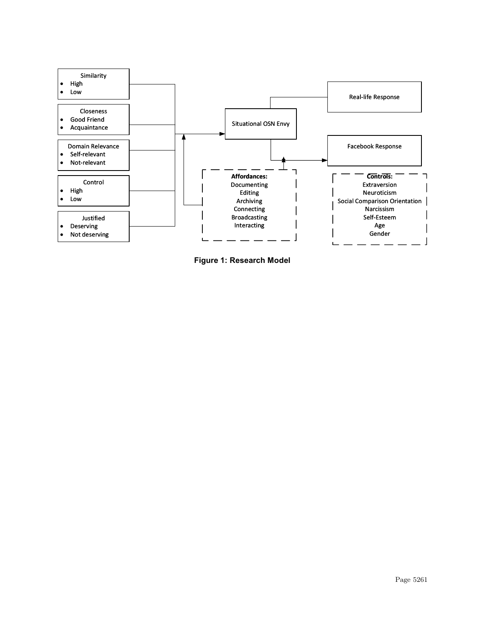

Figure 1: Research Model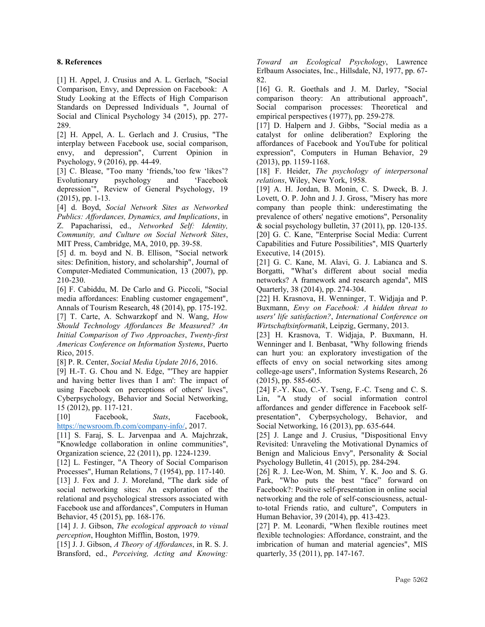#### 8. References

[1] H. Appel, J. Crusius and A. L. Gerlach, "Social Comparison, Envy, and Depression on Facebook: A Study Looking at the Effects of High Comparison Standards on Depressed Individuals ", Journal of Social and Clinical Psychology 34 (2015), pp. 277- 289.

[2] H. Appel, A. L. Gerlach and J. Crusius, "The interplay between Facebook use, social comparison, envy, and depression", Current Opinion in Psychology, 9 (2016), pp. 44-49.

[3] C. Blease, "Too many 'friends,'too few 'likes'? Evolutionary psychology and 'Facebook depression'", Review of General Psychology, 19 (2015), pp. 1-13.

[4] d. Boyd, Social Network Sites as Networked Publics: Affordances, Dynamics, and Implications, in Z. Papacharissi, ed., Networked Self: Identity, Community, and Culture on Social Network Sites, MIT Press, Cambridge, MA, 2010, pp. 39-58.

[5] d. m. boyd and N. B. Ellison, "Social network sites: Definition, history, and scholarship", Journal of Computer‐Mediated Communication, 13 (2007), pp. 210-230.

[6] F. Cabiddu, M. De Carlo and G. Piccoli, "Social media affordances: Enabling customer engagement", Annals of Tourism Research, 48 (2014), pp. 175-192. [7] T. Carte, A. Schwarzkopf and N. Wang, How Should Technology Affordances Be Measured? An Initial Comparison of Two Approaches, Twenty-first

Americas Conference on Information Systems, Puerto Rico, 2015.

[8] P. R. Center, Social Media Update 2016, 2016.

[9] H.-T. G. Chou and N. Edge, "'They are happier and having better lives than I am': The impact of using Facebook on perceptions of others' lives", Cyberpsychology, Behavior and Social Networking, 15 (2012), pp. 117-121.

[10] Facebook, Stats, Facebook, https://newsroom.fb.com/company-info/, 2017.

[11] S. Faraj, S. L. Jarvenpaa and A. Majchrzak, "Knowledge collaboration in online communities", Organization science, 22 (2011), pp. 1224-1239.

[12] L. Festinger, "A Theory of Social Comparison Processes", Human Relations, 7 (1954), pp. 117-140.

[13] J. Fox and J. J. Moreland, "The dark side of social networking sites: An exploration of the relational and psychological stressors associated with Facebook use and affordances", Computers in Human Behavior, 45 (2015), pp. 168-176.

[14] J. J. Gibson, The ecological approach to visual perception, Houghton Mifflin, Boston, 1979.

[15] J. J. Gibson, A Theory of Affordances, in R. S. J. Bransford, ed., Perceiving, Acting and Knowing:

Toward an Ecological Psychology, Lawrence Erlbaum Associates, Inc., Hillsdale, NJ, 1977, pp. 67- 82.

[16] G. R. Goethals and J. M. Darley, "Social comparison theory: An attributional approach", Social comparison processes: Theoretical and empirical perspectives (1977), pp. 259-278.

[17] D. Halpern and J. Gibbs, "Social media as a catalyst for online deliberation? Exploring the affordances of Facebook and YouTube for political expression", Computers in Human Behavior, 29 (2013), pp. 1159-1168.

[18] F. Heider, The psychology of interpersonal relations, Wiley, New York, 1958.

[19] A. H. Jordan, B. Monin, C. S. Dweck, B. J. Lovett, O. P. John and J. J. Gross, "Misery has more company than people think: underestimating the prevalence of others' negative emotions", Personality & social psychology bulletin, 37 (2011), pp. 120-135. [20] G. C. Kane, "Enterprise Social Media: Current Capabilities and Future Possibilities", MIS Quarterly Executive, 14 (2015).

[21] G. C. Kane, M. Alavi, G. J. Labianca and S. Borgatti, "What's different about social media networks? A framework and research agenda", MIS Quarterly, 38 (2014), pp. 274-304.

[22] H. Krasnova, H. Wenninger, T. Widjaja and P. Buxmann, Envy on Facebook: A hidden threat to users' life satisfaction?, International Conference on Wirtschaftsinformatik, Leipzig, Germany, 2013.

[23] H. Krasnova, T. Widjaja, P. Buxmann, H. Wenninger and I. Benbasat, "Why following friends can hurt you: an exploratory investigation of the effects of envy on social networking sites among college-age users", Information Systems Research, 26 (2015), pp. 585-605.

[24] F.-Y. Kuo, C.-Y. Tseng, F.-C. Tseng and C. S. Lin, "A study of social information control affordances and gender difference in Facebook selfpresentation", Cyberpsychology, Behavior, and Social Networking, 16 (2013), pp. 635-644.

[25] J. Lange and J. Crusius, "Dispositional Envy Revisited: Unraveling the Motivational Dynamics of Benign and Malicious Envy", Personality & Social Psychology Bulletin, 41 (2015), pp. 284-294.

[26] R. J. Lee-Won, M. Shim, Y. K. Joo and S. G. Park, "Who puts the best "face" forward on Facebook?: Positive self-presentation in online social networking and the role of self-consciousness, actualto-total Friends ratio, and culture", Computers in Human Behavior, 39 (2014), pp. 413-423.

[27] P. M. Leonardi, "When flexible routines meet flexible technologies: Affordance, constraint, and the imbrication of human and material agencies", MIS quarterly, 35 (2011), pp. 147-167.